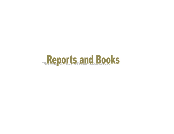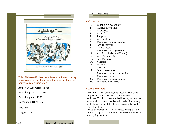

Title: Elaj mein Ehtiyat: Aam Istamal ki Dawaoon kay Mozir Asrat aur is istamal kay doran mein Ehtiyat kay baray mein rehnuma kitab.

Author: Dr Asif Mehmood Jah

Publishing place: Lahore

Publishing year: 1993

Description: 84 p; illus

Size: 8x8

Language: Urdu

#### Books and Reports

### **CONTENTS**

- 1. What is a side effect?
- 2. General Information
- 3. Analgesics
- 4. Antacids
- 5. Purgatives
- 6. Anti emetics
- 7. Medicines for loose motions
- 8. Anti Histamines
- 9. Tranquillisers
- 10. Medicines for cough control
- 11. Anti Microbials (Anti Biotics)
- 12. Anti Tuberculosis<br>13. Anti Malarias
- Anti Malarias
- 14. Vitamins
- 15. Minerals
- 16. Steroids
- 17. Oral contraceptives
- 18. Medicines for worm infestations
- 19. Medicines for eyes
- 20. Medicines for skin disorders
- 21. Managing side effects

## About the Report

Cure with care is a simple guide about the side effects and precautions in the use of commonly used medicines. This has been compiled keeping in view the dangerously increased trend of self-medication, mostly due to the easy availability fo and accessibility to all types of medicines.

This guide intends to create awareness among people about the dangers of injudicious and indiscriminate use of every day medicines.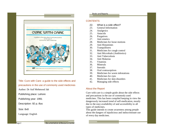

Title: Cure with Care: a guide to the side effects and precautions in the use of commonly used medicines Author: Dr Asif Mehmood Jah

Publishing place: Lahore

Publishing year: 1991

Description: 92 p; illus

Size: 8x8

Language: English

#### Books and Reports

### **CONTENTS**

- 22. What is a side effect?
- 23. General Information
- 24. Analgesics
- 25. Antacids
- 26. Purgatives
- 27. Anti emetics
- 28. Medicines for loose motions
- 29. Anti Histamines
- 30. Tranquillisers
- 31. Medicines for cough control
- 32. Anti Microbials (Antibiotics)
- 33. Anti Tuberculosis<br>34. Anti Malarias
- Anti Malarias
- 35. Vitamins
- 36. Minerals
- 37. Steroids
- 38. Oral contraceptives
- 39. Medicines for worm infestations
- 40. Medicines for eyes
- 41. Medicines for skin disorders
- 42. Managing side effects

## About the Report

Cure with care is a simple guide about the side effects and precautions in the use of commonly used medicines. This has been compiled keeping in view the dangerously increased trend of self-medication, mostly due to the easy availability of and accessibility to all types of medicines.

This guide intends to create awareness among people about the dangers of injudicious and indiscriminate use of every day medicines.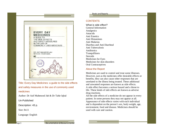

Title: Every Day Medicines: a guide to the side effects and safety measures in the use of commonly used medicines

Author: Dr Asif Mahmood Jah & Dr Tahir Iqbal

Un-Published

Description: 43 p.

Size: 8x11

Language: English

#### Books and Reports

# **CONTENTS**

What is side effect? General Information Analgesics Antacids Anti Emetics Anti Histamines Anti Malarias Diarrhea and Anti Diarrheal Anti Tuberculosis **Antibiotics Tranquillizers** Steroids Medicines for Eyes Medicines for skin disorders Oral Contraceptives

# About the Report

Medicines are used to control and treat some illnesses. However, just as the medicines offer desirable effects or benefits, they can also cause other responses that are unrelated to the illness being treated. These additional and unwanted responses are known as side effects. A side effect becomes a serious hazard and a threat to life. These kinds of side effects are known as adverse drug reactions.

All the side effects of a medicine do not appear in every patient. In some persons they may not appear at all. Appearance of side effects varies with each individual and is dependent on the person's sex, body weight, age, environment, food and disease. Medicines should be used with care and caution.